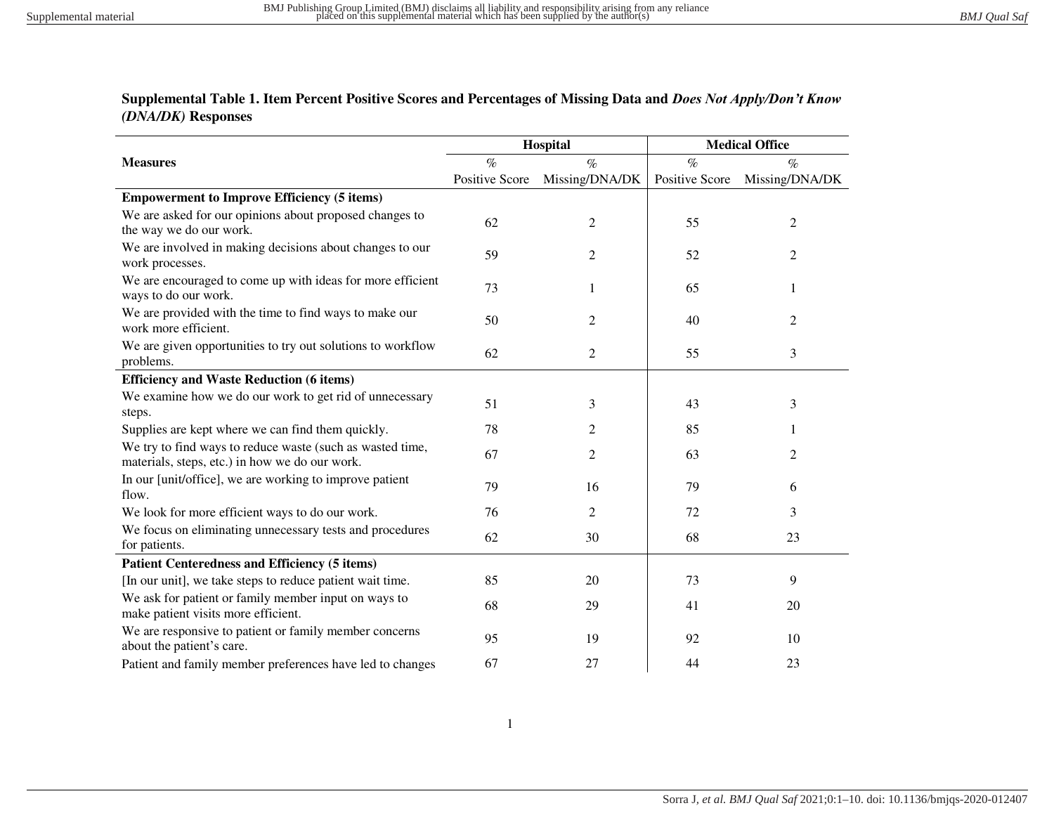## **Supplemental Table 1. Item Percent Positive Scores and Percentages of Missing Data and** *Does Not Apply/Don't Know (DNA/DK)* **Responses**

|                                                                                                             |                       | Hospital       | <b>Medical Office</b> |                |  |
|-------------------------------------------------------------------------------------------------------------|-----------------------|----------------|-----------------------|----------------|--|
| <b>Measures</b>                                                                                             | $\%$                  | $\%$           | $\%$                  | $\%$           |  |
|                                                                                                             | <b>Positive Score</b> | Missing/DNA/DK | Positive Score        | Missing/DNA/DK |  |
| <b>Empowerment to Improve Efficiency (5 items)</b>                                                          |                       |                |                       |                |  |
| We are asked for our opinions about proposed changes to<br>the way we do our work.                          | 62                    | $\mathfrak{2}$ | 55                    | $\overline{c}$ |  |
| We are involved in making decisions about changes to our<br>work processes.                                 | 59                    | 2              | 52                    | 2              |  |
| We are encouraged to come up with ideas for more efficient<br>ways to do our work.                          | 73                    | 1              | 65                    | 1              |  |
| We are provided with the time to find ways to make our<br>work more efficient.                              | 50                    | $\overline{2}$ | 40                    | 2              |  |
| We are given opportunities to try out solutions to workflow<br>problems.                                    | 62                    | $\overline{c}$ | 55                    | 3              |  |
| <b>Efficiency and Waste Reduction (6 items)</b>                                                             |                       |                |                       |                |  |
| We examine how we do our work to get rid of unnecessary<br>steps.                                           | 51                    | 3              | 43                    | 3              |  |
| Supplies are kept where we can find them quickly.                                                           | 78                    | $\overline{c}$ | 85                    | 1              |  |
| We try to find ways to reduce waste (such as wasted time,<br>materials, steps, etc.) in how we do our work. | 67                    | $\overline{2}$ | 63                    | 2              |  |
| In our [unit/office], we are working to improve patient<br>flow.                                            | 79                    | 16             | 79                    | 6              |  |
| We look for more efficient ways to do our work.                                                             | 76                    | $\overline{c}$ | 72                    | 3              |  |
| We focus on eliminating unnecessary tests and procedures<br>for patients.                                   | 62                    | 30             | 68                    | 23             |  |
| <b>Patient Centeredness and Efficiency (5 items)</b>                                                        |                       |                |                       |                |  |
| [In our unit], we take steps to reduce patient wait time.                                                   | 85                    | 20             | 73                    | 9              |  |
| We ask for patient or family member input on ways to<br>make patient visits more efficient.                 | 68                    | 29             | 41                    | 20             |  |
| We are responsive to patient or family member concerns<br>about the patient's care.                         | 95                    | 19             | 92                    | 10             |  |
| Patient and family member preferences have led to changes                                                   | 67                    | 27             | 44                    | 23             |  |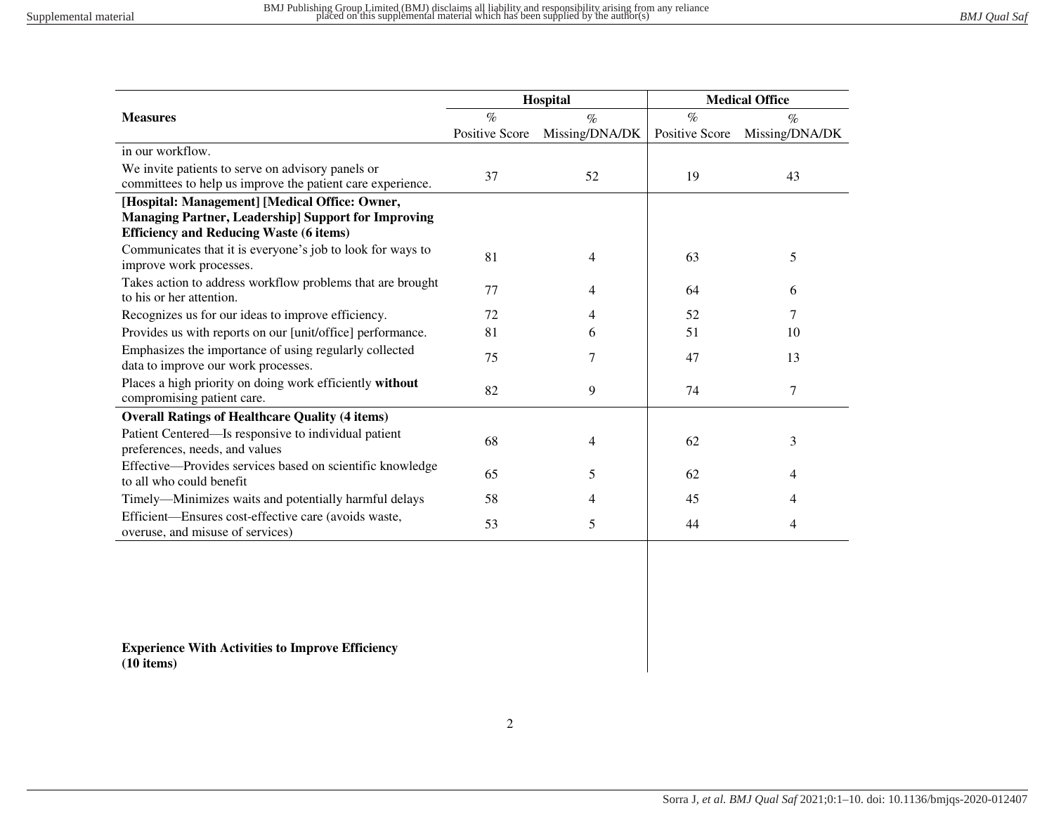| Hospital                                                                                 |                |                | <b>Medical Office</b> |                |  |  |
|------------------------------------------------------------------------------------------|----------------|----------------|-----------------------|----------------|--|--|
| <b>Measures</b>                                                                          | $\%$           | $\%$           | $\%$                  | $\%$           |  |  |
|                                                                                          | Positive Score | Missing/DNA/DK | <b>Positive Score</b> | Missing/DNA/DK |  |  |
| in our workflow.                                                                         |                |                |                       |                |  |  |
| We invite patients to serve on advisory panels or                                        | 37             | 52             | 19                    | 43             |  |  |
| committees to help us improve the patient care experience.                               |                |                |                       |                |  |  |
| [Hospital: Management] [Medical Office: Owner,                                           |                |                |                       |                |  |  |
| <b>Managing Partner, Leadership] Support for Improving</b>                               |                |                |                       |                |  |  |
| <b>Efficiency and Reducing Waste (6 items)</b>                                           |                |                |                       |                |  |  |
| Communicates that it is everyone's job to look for ways to<br>improve work processes.    | 81             | 4              | 63                    | 5              |  |  |
| Takes action to address workflow problems that are brought<br>to his or her attention.   | 77             | 4              | 64                    | 6              |  |  |
| Recognizes us for our ideas to improve efficiency.                                       | 72             | 4              | 52                    | 7              |  |  |
| Provides us with reports on our [unit/office] performance.                               | 81             | 6              | 51                    | 10             |  |  |
| Emphasizes the importance of using regularly collected                                   | 75             |                |                       |                |  |  |
| data to improve our work processes.                                                      |                | 7              | 47                    | 13             |  |  |
| Places a high priority on doing work efficiently without<br>compromising patient care.   | 82             | 9              | 74                    | $\tau$         |  |  |
| <b>Overall Ratings of Healthcare Quality (4 items)</b>                                   |                |                |                       |                |  |  |
| Patient Centered—Is responsive to individual patient                                     |                |                |                       |                |  |  |
| preferences, needs, and values                                                           | 68             | 4              | 62                    | 3              |  |  |
| Effective-Provides services based on scientific knowledge                                |                |                |                       |                |  |  |
| to all who could benefit                                                                 | 65             | 5              | 62                    | 4              |  |  |
| Timely—Minimizes waits and potentially harmful delays                                    | 58             | 4              | 45                    | 4              |  |  |
| Efficient-Ensures cost-effective care (avoids waste,<br>overuse, and misuse of services) | 53             | 5              | 44                    | 4              |  |  |

**Experience With Activities to Improve Efficiency (10 items)**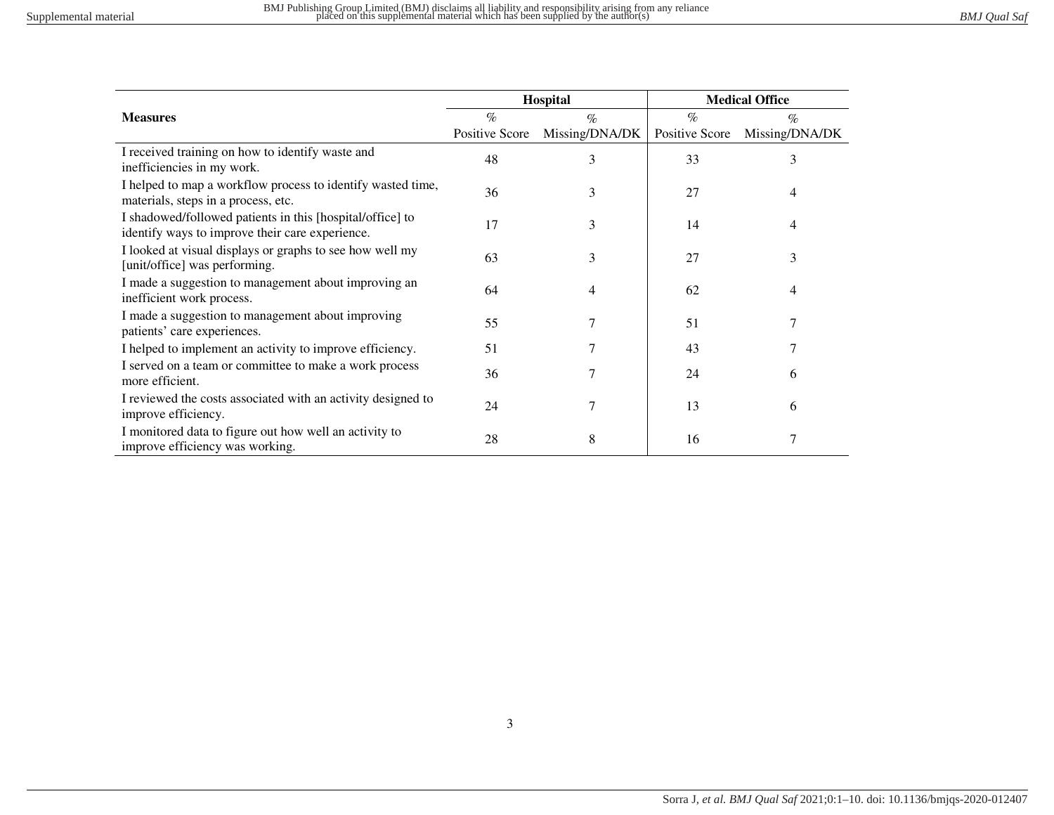|                                                                                                              |                | Hospital       | <b>Medical Office</b> |                |  |
|--------------------------------------------------------------------------------------------------------------|----------------|----------------|-----------------------|----------------|--|
| <b>Measures</b>                                                                                              | $\%$           | $\%$           | $\%$                  | $\%$           |  |
|                                                                                                              | Positive Score | Missing/DNA/DK | Positive Score        | Missing/DNA/DK |  |
| I received training on how to identify waste and<br>inefficiencies in my work.                               | 48             | 3              | 33                    | 3              |  |
| I helped to map a workflow process to identify wasted time,<br>materials, steps in a process, etc.           | 36             | 3              | 27                    | 4              |  |
| I shadowed/followed patients in this [hospital/office] to<br>identify ways to improve their care experience. | 17             | 3              | 14                    | 4              |  |
| I looked at visual displays or graphs to see how well my<br>[unit/office] was performing.                    | 63             | 3              | 27                    | 3              |  |
| I made a suggestion to management about improving an<br>inefficient work process.                            | 64             | 4              | 62                    | 4              |  |
| I made a suggestion to management about improving<br>patients' care experiences.                             | 55             | 7              | 51                    |                |  |
| I helped to implement an activity to improve efficiency.                                                     | 51             | 7              | 43                    |                |  |
| I served on a team or committee to make a work process<br>more efficient.                                    | 36             | 7              | 24                    | 6              |  |
| I reviewed the costs associated with an activity designed to<br>improve efficiency.                          | 24             |                | 13                    | 6              |  |
| I monitored data to figure out how well an activity to<br>improve efficiency was working.                    | 28             | 8              | 16                    |                |  |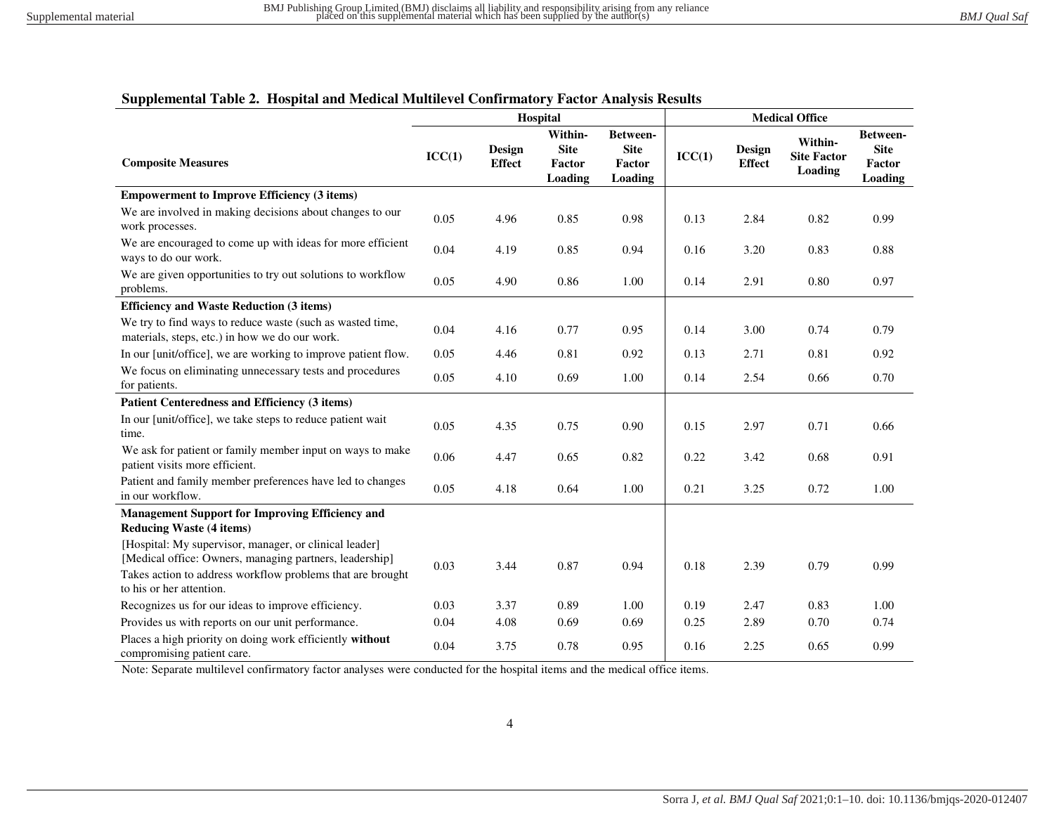## **Supplemental Table 2. Hospital and Medical Multilevel Confirmatory Factor Analysis Results**

|                                                                                                                                                                                                             | Hospital |                         |                                             | <b>Medical Office</b>                        |        |                         |                                                 |                                              |
|-------------------------------------------------------------------------------------------------------------------------------------------------------------------------------------------------------------|----------|-------------------------|---------------------------------------------|----------------------------------------------|--------|-------------------------|-------------------------------------------------|----------------------------------------------|
| <b>Composite Measures</b>                                                                                                                                                                                   | ICC(1)   | Design<br><b>Effect</b> | Within-<br><b>Site</b><br>Factor<br>Loading | Between-<br><b>Site</b><br>Factor<br>Loading | ICC(1) | Design<br><b>Effect</b> | Within-<br><b>Site Factor</b><br><b>Loading</b> | Between-<br><b>Site</b><br>Factor<br>Loading |
| <b>Empowerment to Improve Efficiency (3 items)</b>                                                                                                                                                          |          |                         |                                             |                                              |        |                         |                                                 |                                              |
| We are involved in making decisions about changes to our<br>work processes.                                                                                                                                 | 0.05     | 4.96                    | 0.85                                        | 0.98                                         | 0.13   | 2.84                    | 0.82                                            | 0.99                                         |
| We are encouraged to come up with ideas for more efficient<br>ways to do our work.                                                                                                                          | 0.04     | 4.19                    | 0.85                                        | 0.94                                         | 0.16   | 3.20                    | 0.83                                            | 0.88                                         |
| We are given opportunities to try out solutions to workflow<br>problems.                                                                                                                                    | 0.05     | 4.90                    | 0.86                                        | 1.00                                         | 0.14   | 2.91                    | 0.80                                            | 0.97                                         |
| <b>Efficiency and Waste Reduction (3 items)</b>                                                                                                                                                             |          |                         |                                             |                                              |        |                         |                                                 |                                              |
| We try to find ways to reduce waste (such as wasted time,<br>materials, steps, etc.) in how we do our work.                                                                                                 | 0.04     | 4.16                    | 0.77                                        | 0.95                                         | 0.14   | 3.00                    | 0.74                                            | 0.79                                         |
| In our [unit/office], we are working to improve patient flow.                                                                                                                                               | 0.05     | 4.46                    | 0.81                                        | 0.92                                         | 0.13   | 2.71                    | 0.81                                            | 0.92                                         |
| We focus on eliminating unnecessary tests and procedures<br>for patients.                                                                                                                                   | 0.05     | 4.10                    | 0.69                                        | 1.00                                         | 0.14   | 2.54                    | 0.66                                            | 0.70                                         |
| Patient Centeredness and Efficiency (3 items)                                                                                                                                                               |          |                         |                                             |                                              |        |                         |                                                 |                                              |
| In our [unit/office], we take steps to reduce patient wait<br>time.                                                                                                                                         | 0.05     | 4.35                    | 0.75                                        | 0.90                                         | 0.15   | 2.97                    | 0.71                                            | 0.66                                         |
| We ask for patient or family member input on ways to make<br>patient visits more efficient.                                                                                                                 | 0.06     | 4.47                    | 0.65                                        | 0.82                                         | 0.22   | 3.42                    | 0.68                                            | 0.91                                         |
| Patient and family member preferences have led to changes<br>in our workflow.                                                                                                                               | 0.05     | 4.18                    | 0.64                                        | 1.00                                         | 0.21   | 3.25                    | 0.72                                            | 1.00                                         |
| Management Support for Improving Efficiency and<br><b>Reducing Waste (4 items)</b>                                                                                                                          |          |                         |                                             |                                              |        |                         |                                                 |                                              |
| [Hospital: My supervisor, manager, or clinical leader]<br>[Medical office: Owners, managing partners, leadership]<br>Takes action to address workflow problems that are brought<br>to his or her attention. | 0.03     | 3.44                    | 0.87                                        | 0.94                                         | 0.18   | 2.39                    | 0.79                                            | 0.99                                         |
| Recognizes us for our ideas to improve efficiency.                                                                                                                                                          | 0.03     | 3.37                    | 0.89                                        | 1.00                                         | 0.19   | 2.47                    | 0.83                                            | 1.00                                         |
| Provides us with reports on our unit performance.                                                                                                                                                           | 0.04     | 4.08                    | 0.69                                        | 0.69                                         | 0.25   | 2.89                    | 0.70                                            | 0.74                                         |
| Places a high priority on doing work efficiently without<br>compromising patient care.                                                                                                                      | 0.04     | 3.75                    | 0.78                                        | 0.95                                         | 0.16   | 2.25                    | 0.65                                            | 0.99                                         |

Note: Separate multilevel confirmatory factor analyses were conducted for the hospital items and the medical office items.